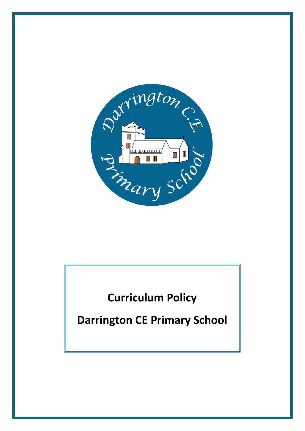

# **Curriculum Policy**

**Darrington CE Primary School**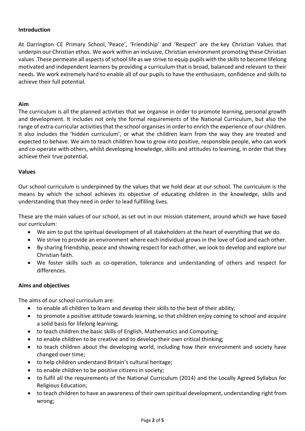### **Introduction**

At Darrington CE Primary School, 'Peace', 'Friendship' and 'Respect' are the key Christian Values that underpin our Christian ethos. We work within an inclusive, Christian environment promoting these Christian values .These permeate all aspects of school life as we strive to equip pupils with the skills to become lifelong motivated and independent learners by providing a curriculum that is broad, balanced and relevant to their needs. We work extremely hard to enable all of our pupils to have the enthusiasm, confidence and skills to achieve their full potential.

### **Aim**

The curriculum is all the planned activities that we organise in order to promote learning, personal growth and development. It includes not only the formal requirements of the National Curriculum, but also the range of extra-curricular activities that the school organises in order to enrich the experience of our children. It also includes the 'hidden curriculum', or what the children learn from the way they are treated and expected to behave. We aim to teach children how to grow into positive, responsible people, who can work and co-operate with others, whilst developing knowledge, skills and attitudes to learning, in order that they achieve their true potential.

### **Values**

Our school curriculum is underpinned by the values that we hold dear at our school. The curriculum is the means by which the school achieves its objective of educating children in the knowledge, skills and understanding that they need in order to lead fulfilling lives.

These are the main values of our school, as set out in our mission statement, around which we have based our curriculum:

- We aim to put the spiritual development of all stakeholders at the heart of everything that we do.
- We strive to provide an environment where each individual grows in the love of God and each other.
- By sharing friendship, peace and showing respect for each other, we look to develop and explore our Christian faith.
- We foster skills such as co-operation, tolerance and understanding of others and respect for differences.

## **Aims and objectives**

The aims of our school curriculum are:

- to enable all children to learn and develop their skills to the best of their ability;
- to promote a positive attitude towards learning, so that children enjoy coming to school and acquire a solid basis for lifelong learning;
- to teach children the basic skills of English, Mathematics and Computing;
- to enable children to be creative and to develop their own critical thinking;
- to teach children about the developing world, including how their environment and society have changed over time;
- to help children understand Britain's cultural heritage;
- to enable children to be positive citizens in society;
- to fulfil all the requirements of the National Curriculum (2014) and the Locally Agreed Syllabus for Religious Education;
- to teach children to have an awareness of their own spiritual development, understanding right from wrong;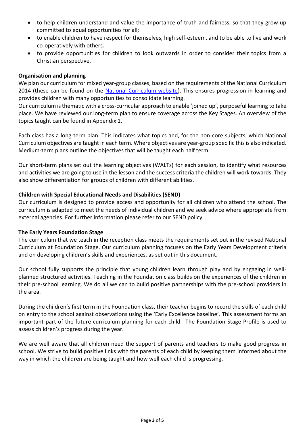- to help children understand and value the importance of truth and fairness, so that they grow up committed to equal opportunities for all;
- to enable children to have respect for themselves, high self-esteem, and to be able to live and work co-operatively with others.
- to provide opportunities for children to look outwards in order to consider their topics from a Christian perspective.

## **Organisation and planning**

We plan our curriculum for mixed year-group classes, based on the requirements of the National Curriculum 2014 (these can be found on the [National Curriculum website\)](http://www.gov.uk/government/publications/national-curriculum-in-england-framework-for-key-stages-1-to-4). This ensures progression in learning and provides children with many opportunities to consolidate learning.

Our curriculum is thematic with a cross-curricular approach to enable 'joined up', purposeful learning to take place. We have reviewed our long-term plan to ensure coverage across the Key Stages. An overview of the topics taught can be found in Appendix 1.

Each class has a long-term plan. This indicates what topics and, for the non-core subjects, which National Curriculum objectives are taught in each term. Where objectives are year-group specific this is also indicated. Medium-term plans outline the objectives that will be taught each half term.

Our short-term plans set out the learning objectives (WALTs) for each session, to identify what resources and activities we are going to use in the lesson and the success criteria the children will work towards. They also show differentiation for groups of children with different abilities.

### **Children with Special Educational Needs and Disabilities (SEND)**

Our curriculum is designed to provide access and opportunity for all children who attend the school. The curriculum is adapted to meet the needs of individual children and we seek advice where appropriate from external agencies. For further information please refer to our SEND policy.

#### **The Early Years Foundation Stage**

The curriculum that we teach in the reception class meets the requirements set out in the revised National Curriculum at Foundation Stage. Our curriculum planning focuses on the Early Years Development criteria and on developing children's skills and experiences, as set out in this document.

Our school fully supports the principle that young children learn through play and by engaging in wellplanned structured activities. Teaching in the Foundation class builds on the experiences of the children in their pre-school learning. We do all we can to build positive partnerships with the pre-school providers in the area.

During the children's first term in the Foundation class, their teacher begins to record the skills of each child on entry to the school against observations using the 'Early Excellence baseline'. This assessment forms an important part of the future curriculum planning for each child. The Foundation Stage Profile is used to assess children's progress during the year.

We are well aware that all children need the support of parents and teachers to make good progress in school. We strive to build positive links with the parents of each child by keeping them informed about the way in which the children are being taught and how well each child is progressing.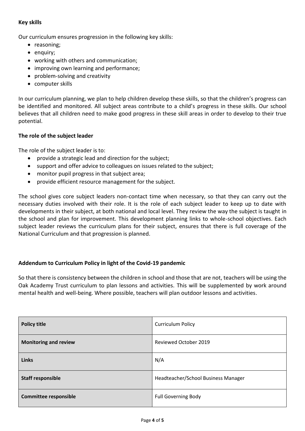### **Key skills**

Our curriculum ensures progression in the following key skills:

- reasoning;
- enquiry;
- working with others and communication;
- improving own learning and performance;
- problem-solving and creativity
- computer skills

In our curriculum planning, we plan to help children develop these skills, so that the children's progress can be identified and monitored. All subject areas contribute to a child's progress in these skills. Our school believes that all children need to make good progress in these skill areas in order to develop to their true potential.

## **The role of the subject leader**

The role of the subject leader is to:

- provide a strategic lead and direction for the subject;
- support and offer advice to colleagues on issues related to the subject;
- monitor pupil progress in that subject area;
- provide efficient resource management for the subject.

The school gives core subject leaders non-contact time when necessary, so that they can carry out the necessary duties involved with their role. It is the role of each subject leader to keep up to date with developments in their subject, at both national and local level. They review the way the subject is taught in the school and plan for improvement. This development planning links to whole-school objectives. Each subject leader reviews the curriculum plans for their subject, ensures that there is full coverage of the National Curriculum and that progression is planned.

## **Addendum to Curriculum Policy in light of the Covid-19 pandemic**

So that there is consistency between the children in school and those that are not, teachers will be using the Oak Academy Trust curriculum to plan lessons and activities. This will be supplemented by work around mental health and well-being. Where possible, teachers will plan outdoor lessons and activities.

| <b>Policy title</b>          | <b>Curriculum Policy</b>            |
|------------------------------|-------------------------------------|
| <b>Monitoring and review</b> | <b>Reviewed October 2019</b>        |
| <b>Links</b>                 | N/A                                 |
| <b>Staff responsible</b>     | Headteacher/School Business Manager |
| <b>Committee responsible</b> | <b>Full Governing Body</b>          |